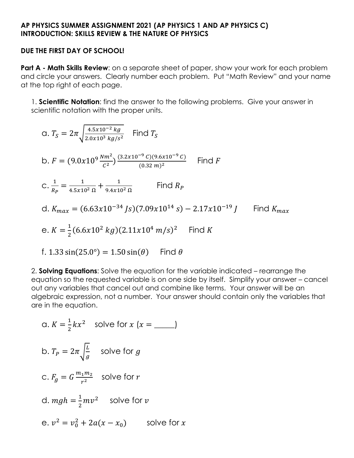### **AP PHYSICS SUMMER ASSIGNMENT 2021 (AP PHYSICS 1 AND AP PHYSICS C) INTRODUCTION: SKILLS REVIEW & THE NATURE OF PHYSICS**

#### **DUE THE FIRST DAY OF SCHOOL!**

**Part A - Math Skills Review**: on a separate sheet of paper, show your work for each problem and circle your answers. Clearly number each problem. Put "Math Review" and your name at the top right of each page.

1. **Scientific Notation**: find the answer to the following problems. Give your answer in scientific notation with the proper units.

$$
a. TS = 2\pi \sqrt{\frac{4.5x10^{-2} kg}{2.0x10^{3} kg/s^{2}}}
$$
 Find  $TS$   
\n
$$
b. F = (9.0x10^{9} \frac{Nm^{2}}{c^{2}}) \frac{(3.2x10^{-9} C)(9.6x10^{-9} C)}{(0.32 m)^{2}}
$$
 Find  $F$   
\n
$$
c. \frac{1}{R_{P}} = \frac{1}{4.5x10^{2} \Omega} + \frac{1}{9.4x10^{2} \Omega}
$$
 Find  $R_{P}$   
\n
$$
d. K_{max} = (6.63x10^{-34} Js)(7.09x10^{14} s) - 2.17x10^{-19} J
$$
 Find  $K_{max}$   
\n
$$
e. K = \frac{1}{2} (6.6x10^{2} kg)(2.11x10^{4} m/s)^{2}
$$
 Find  $K$   
\n
$$
f. 1.33 \sin(25.0^{\circ}) = 1.50 \sin(\theta)
$$
 Find  $\theta$ 

2. **Solving Equations**: Solve the equation for the variable indicated – rearrange the equation so the requested variable is on one side by itself. Simplify your answer – cancel out any variables that cancel out and combine like terms. Your answer will be an algebraic expression, not a number. Your answer should contain only the variables that are in the equation.

a.  $K=\frac{1}{2}$  $\frac{1}{2}kx^2$  solve for  $x(x = \underline{\hspace{2cm}})$ b.  $T_P = 2\pi \sqrt{\frac{L}{a}}$  $\frac{L}{g}$  solve for  $g$ c.  $F_g = G \frac{m_1 m_2}{r^2}$  $rac{1}{r^2}$  solve for *r* d.  $mgh = \frac{1}{2}$  $\frac{1}{2}mv^2$  solve for  $v$ e.  $v^2 = v_0^2 + 2a(x - x_0)$  solve for x